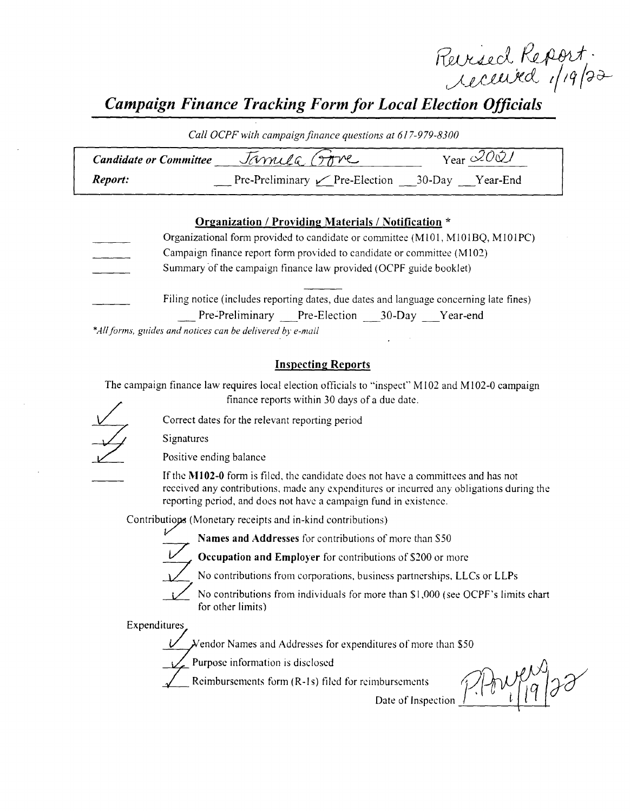Revised Report eceurd 1/19/22

# Campaign Finance Tracking Form for Local Election Officials

| Call OCPF with campaign finance questions at 617-979-8300 |                                           |                                            |  |
|-----------------------------------------------------------|-------------------------------------------|--------------------------------------------|--|
| <b>Candidate or Committee</b>                             | Jamela Corre                              | $Year \mathcal{Q} \mathcal{Q} \mathcal{Q}$ |  |
| <i>Report:</i>                                            | Pre-Preliminary $\checkmark$ Pre-Election | 30-Day Year-End                            |  |

#### Organization / Providing Materials/ Notification \*

Organizational form provided to candidate or committee (M101, M101BQ, M101PC) Campaign finance report form provided to candidate or committee ( M102) Summary of the campaign finance law provided (OCPF guide booklet) Filing notice (includes reporting dates, due dates and language concerning late fines)

Pre-Preliminary Pre-Election 30-Day Year-end

\*All forms, guides and notices can be delivered by e-mail

#### Inspecting Reports

The campaign finance law requires local election officials to "inspect" M102 and M102-0 campaign finance reports within 30 days of <sup>a</sup> due date.

 $\angle$ .<br>Z

Correct dates for the relevant reporting period

Signatures

Positive ending balance

If the M102-0 form is filed, the candidate does not have a committees and has not received any contributions, made any expenditures or incurred any obligations during the reporting period, and does not have <sup>a</sup> campaign fund in existence.

Contributions (Monetary receipts and in-kind contributions)

Names and Addresses for contributions of more than S50



 $\checkmark$ 

Occupation and Employer for contributions of \$200 or more

No contributions from corporations, business partnerships, LLCs or LLPs

No contributions from individuals for more than \$1,000 (see OCPF's limits chart for other limits)

Expenditures,

 $\chi$ endor Names and Addresses for expenditures of more than \$50

Purpose information is disclose

Reimbursements form (R-1s) filed for reimbursements

 $\lambda$ Date of Inspection i | ['1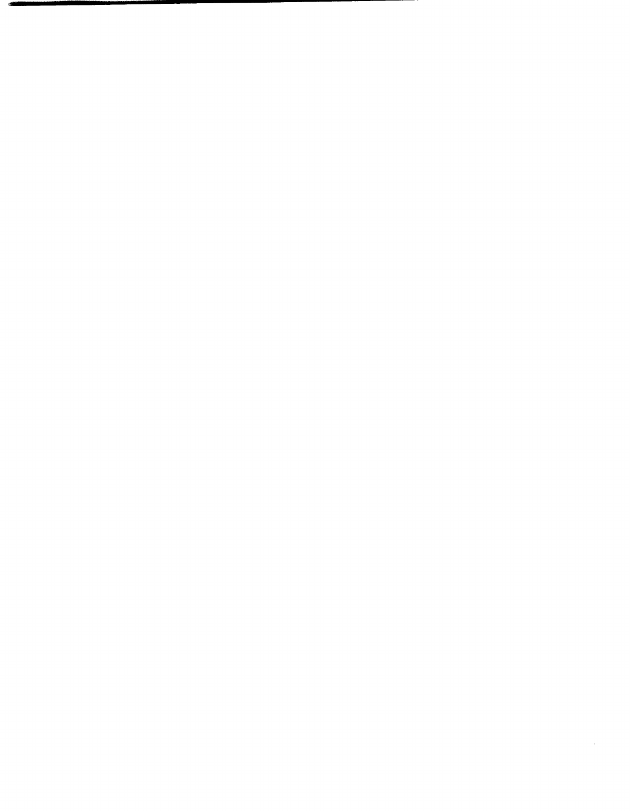$\sim 10^6$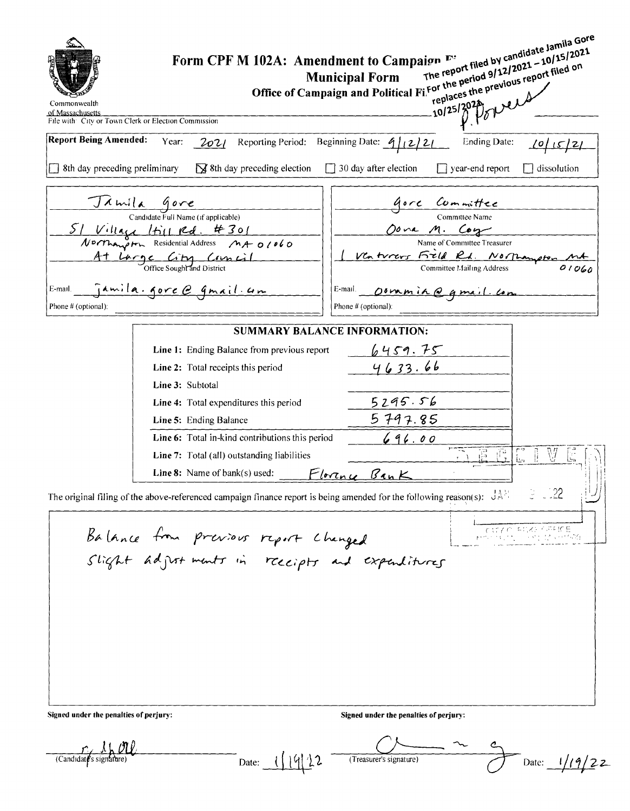| Commonwealth<br>of Massachusetts<br>File with City or Town Clerk or Election Commission       | IVIUnicipal Form<br>Office of Campaign and Political Fi. <sup>For</sup> the period 9/12/2021 - 10/15/2021<br>The report filed on<br>Algoes the previous report.<br>10/25/2020 por |
|-----------------------------------------------------------------------------------------------|-----------------------------------------------------------------------------------------------------------------------------------------------------------------------------------|
| <b>Report Being Amended:</b><br>Year:<br>2021                                                 | Reporting Period: Beginning Date: 4/12/21<br><b>Ending Date:</b>                                                                                                                  |
|                                                                                               | 0 15 2                                                                                                                                                                            |
| 8th day preceding preliminary<br>$\boxtimes$ 8th day preceding election                       | $\Box$ 30 day after election<br>$\Box$ dissolution<br>$\Box$ year-end report                                                                                                      |
|                                                                                               |                                                                                                                                                                                   |
| Tamila gove<br>Candidate Full Name (if applicable)                                            | gore Committee                                                                                                                                                                    |
|                                                                                               | Oone M. Coy                                                                                                                                                                       |
| 5/ Village Hill Rd. #30/<br>Northampton Residential Address MA 0/060<br>At Large City Comment | Name of Committee Treasurer                                                                                                                                                       |
|                                                                                               | Venturers Field Rd. Northempton<br>Committee Mailing Address                                                                                                                      |
|                                                                                               |                                                                                                                                                                                   |
| Jamila.gore@gmail.com<br>E-mail.                                                              | E-mail.<br>Ournin @ gmail. com                                                                                                                                                    |
| Phone # (optional):                                                                           | Phone # (optional):                                                                                                                                                               |
|                                                                                               | <b>SUMMARY BALANCE INFORMATION:</b>                                                                                                                                               |
| Line 1: Ending Balance from previous report                                                   | 6459.75                                                                                                                                                                           |
| Line 2: Total receipts this period                                                            | 4633.66                                                                                                                                                                           |
| Line 3: Subtotal                                                                              |                                                                                                                                                                                   |
| Line 4: Total expenditures this period                                                        | 5295.56                                                                                                                                                                           |
| Line 5: Ending Balance                                                                        | 5797.85                                                                                                                                                                           |
| Line 6: Total in-kind contributions this period                                               | 696.00                                                                                                                                                                            |
| Line 7: Total (all) outstanding liabilities                                                   | V<br>ĵ                                                                                                                                                                            |
|                                                                                               | Line 8: Name of bank(s) used: $Florane$ $\mathcal{B}$ an $\kappa$                                                                                                                 |
|                                                                                               |                                                                                                                                                                                   |
|                                                                                               | . .22<br>UAE<br>The original filing of the above-referenced campaign finance report is being amended for the following reason(s):                                                 |
|                                                                                               |                                                                                                                                                                                   |
|                                                                                               | -<br>イヤイベ FSKS SPEICE<br>シンピング - アカルゲ SPSの<br>Balance from previous report Changed<br>Slight adjustments in receipts and expenditures                                             |
|                                                                                               |                                                                                                                                                                                   |
|                                                                                               |                                                                                                                                                                                   |
|                                                                                               |                                                                                                                                                                                   |
|                                                                                               |                                                                                                                                                                                   |
|                                                                                               |                                                                                                                                                                                   |
|                                                                                               |                                                                                                                                                                                   |
|                                                                                               |                                                                                                                                                                                   |
|                                                                                               |                                                                                                                                                                                   |
|                                                                                               |                                                                                                                                                                                   |
|                                                                                               |                                                                                                                                                                                   |
| Signed under the penalties of perjury:                                                        | Signed under the penalties of perjury:                                                                                                                                            |

| Date: $\lfloor \frac{1}{4} \rfloor$ |  |  |
|-------------------------------------|--|--|
|                                     |  |  |

 $12$  Treasurer's signature)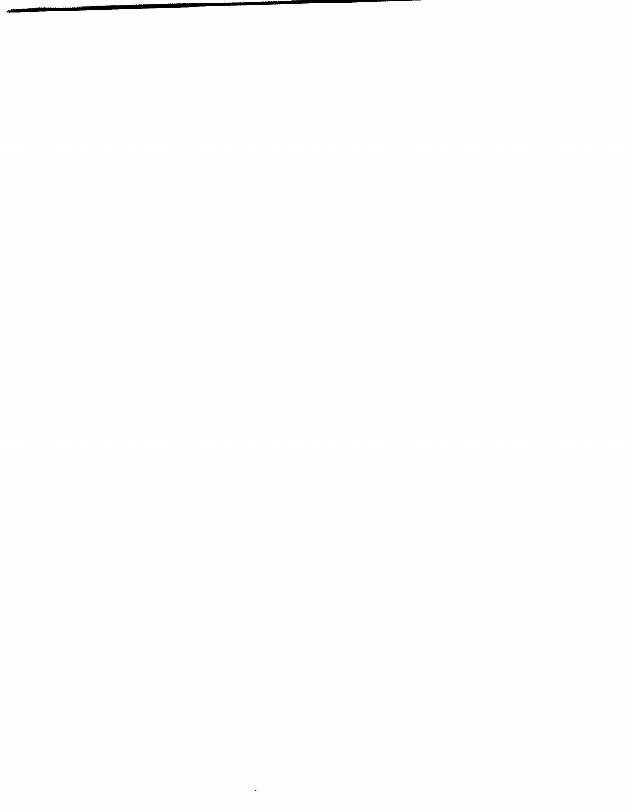$\sim 10^{-10}$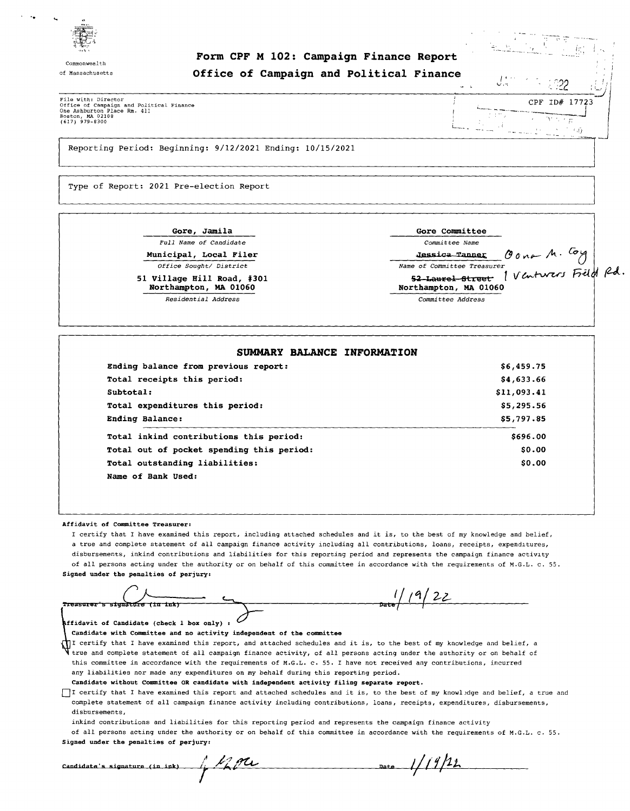

File with: Director<br>Office of Campaign and Political Finance<br>One Ashburton Place Rm. 411<br>(617) 979-8300<br>(617) 979-8300

Form CPF <sup>M</sup> 102: Campaign Finance Report

of Massachusetts Office of Campaign and Political Finance

CPF ID# 17723

٠Ô

Reporting Period: Beginning: 9/ 12/ 2021 Ending: 10/ 15/ 2021

Type of Report: 2021 Pre-election Report

Office Sought/ District<br>51 Village Hill Road, #301

Northampton, MA 01060 Residential Address

| Gore, Jamila                                     | <b>Gore Committee</b>                                          |  |
|--------------------------------------------------|----------------------------------------------------------------|--|
| Full Name of Candidate                           | Committee Name                                                 |  |
| Municipal, Local Filer                           | Jessica Tanner Oona M. Coy                                     |  |
| Office Sought/ District                          | Name of Committee Treasurer                                    |  |
| Village Hill Road, #301<br>Northampton, MA 01060 | 52 Laurel Street I Ventwers Field Rd.<br>Northampton, MA 01060 |  |
| Residential Address                              | Committee Address                                              |  |

| SUMMARY BALANCE INFORMATION               |             |
|-------------------------------------------|-------------|
| Ending balance from previous report:      | \$6,459.75  |
| Total receipts this period:               | \$4,633.66  |
| Subtotal:                                 | \$11,093.41 |
| Total expenditures this period:           | \$5,295.56  |
| Ending Balance:                           | \$5,797.85  |
| Total inkind contributions this period:   | \$696.00    |
| Total out of pocket spending this period: | \$0.00      |
| Total outstanding liabilities:            | \$0.00      |
| Name of Bank Used:                        |             |

Affidavit of Committee Treasurer:

I certify that <sup>I</sup> have examined this report, including attached schedules and it is, to the best of my knowledge and belief, <sup>a</sup> true and complete statement of all campaign finance activity including all contributions, loans, receipts, expenditures, disbursements, inkind contributions and liabilities for this reporting period and represents the campaign finance activity of all persons acting under the authority or on behalf of this committee in accordance with the requirements of M.G.L. c. 55. Signed under the penalties of perjury:

theority of on  $\epsilon$ <br>
y:<br>  $\epsilon$ <br>  $\epsilon$ <br>  $\epsilon$ <br>  $\epsilon$ <br>  $\epsilon$ <br>  $\epsilon$ <br>  $\epsilon$ <br>  $\epsilon$ <br>  $\epsilon$ <br>  $\epsilon$ <br>  $\epsilon$ <br>  $\epsilon$ <br>  $\epsilon$ <br>  $\epsilon$ <br>  $\epsilon$ <br>  $\epsilon$ <br>  $\epsilon$ <br>  $\epsilon$ <br>  $\epsilon$ <br>  $\epsilon$ <br>  $\epsilon$ <br>  $\epsilon$ <br>  $\epsilon$ <br>  $\epsilon$ <br>  $\epsilon$ <br>  $\epsilon$ <br>  $\epsilon$ <br>  $\epsilon$ <br>  $\epsilon$ <br>  $\epsilon$ <br>  $\epsilon$ <br>  $\epsilon$ <br>  $\epsilon$  $22$  $\overline{\mathcal{L}}$ Treasurer's signature (in ink) **ffidavit of Candidate (check 1 box** 

Candidate with Committee and no activity independent of the committee

I certify that <sup>I</sup> have examined this report, and attached schedules and it is, to the best of my knowledge and belief, a  $\P$  true and complete statement of all campaign finance activity, of all persons acting under the authority or on behalf of this committee in accordance with the requirements of M.G.L. c. 55. I have not received any contributions, incurred any liabilities nor made any expenditures on my behalf during this reporting period.

Candidate without Committee OR candidate with independent activity filing separate report.

OI certify that <sup>I</sup> have examined this report and attached schedules and it is, to the best of my knowledge and belief, a true and complete statement of all campaign finance activity including contributions, loans, receipts, expenditures, disbursements, disbursements,

inkind contributions and liabilities for this reporting period and represents the campaign finance activity

of all persons acting under the authority or on behalf of this committee in accordance with the requirements of M.G.L. c. 55. Signed under the penalties of perjury:

| $\ell$ between $\ell$ by $\ell$ by $\ell$<br>Candidate's signature (in ink) | $_{\text{Data}}$ ///1/22 |
|-----------------------------------------------------------------------------|--------------------------|
|                                                                             |                          |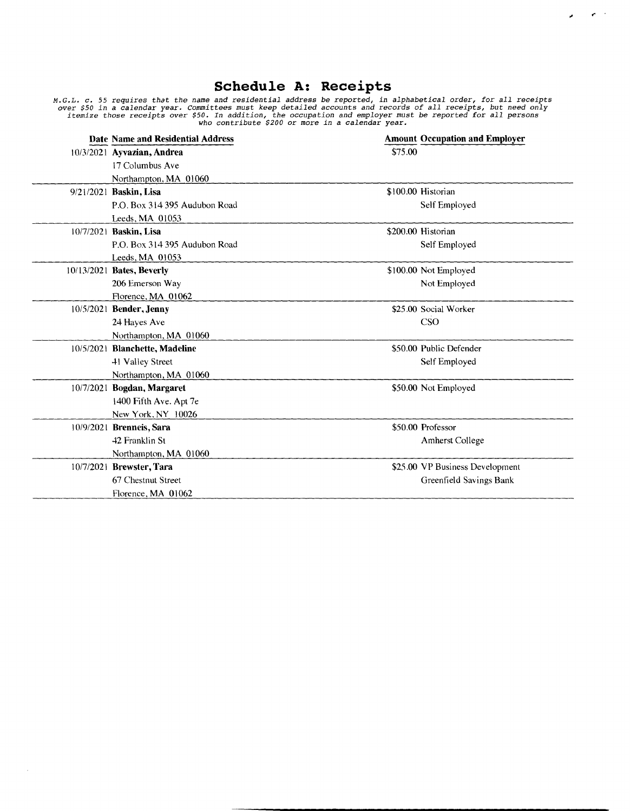### Schedule A: Receipts

 $\sigma=0$ 

M. G. L. C. 55 requires that the name and residential address be reported, in alphabetical order, for all receipts over \$50 in a calendar year. Committees must keep detailed accounts and records of all receipts, but need only<br>itemize those receipts over \$50. In addition, the occupation and employer must be reported for all persons<br>who

| Date Name and Residential Address |         | <b>Amount Occupation and Employer</b> |
|-----------------------------------|---------|---------------------------------------|
| 10/3/2021 Ayvazian, Andrea        | \$75.00 |                                       |
| 17 Columbus Ave                   |         |                                       |
| Northampton, MA 01060             |         |                                       |
| 9/21/2021 Baskin, Lisa            |         | \$100.00 Historian                    |
| P.O. Box 314 395 Audubon Road     |         | Self Employed                         |
| Leeds, MA 01053                   |         |                                       |
| 10/7/2021 Baskin, Lisa            |         | \$200.00 Historian                    |
| P.O. Box 314 395 Audubon Road     |         | Self Employed                         |
| Leeds, MA 01053                   |         |                                       |
| 10/13/2021 Bates, Beverly         |         | \$100.00 Not Employed                 |
| 206 Emerson Way                   |         | Not Employed                          |
| Florence, MA 01062                |         |                                       |
| 10/5/2021 Bender, Jenny           |         | \$25.00 Social Worker                 |
| 24 Haves Ave                      |         | CSO                                   |
| Northampton, MA 01060             |         |                                       |
| 10/5/2021 Blanchette, Madeline    |         | \$50.00 Public Defender               |
| 41 Valley Street                  |         | Self Employed                         |
| Northampton, MA 01060             |         |                                       |
| 10/7/2021 Bogdan, Margaret        |         | \$50.00 Not Employed                  |
| 1400 Fifth Ave. Apt 7e            |         |                                       |
| New York, NY 10026                |         |                                       |
| 10/9/2021 Brenneis, Sara          |         | \$50.00 Professor                     |
| 42 Franklin St                    |         | Amherst College                       |
| Northampton, MA 01060             |         |                                       |
| 10/7/2021 Brewster, Tara          |         | \$25.00 VP Business Development       |
| 67 Chestnut Street                |         | Greenfield Savings Bank               |
| Florence, MA 01062                |         |                                       |

 $\mathcal{A}$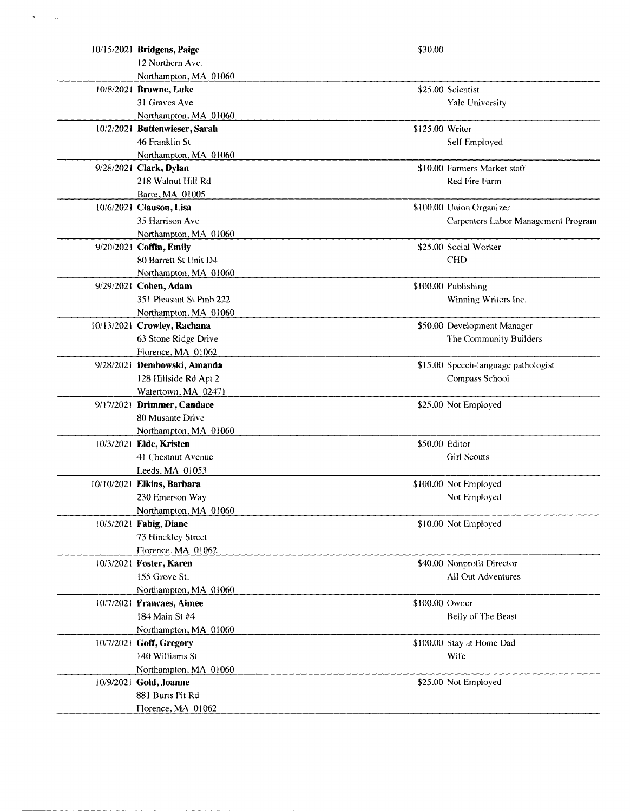| 10/15/2021 Bridgens, Paige    | \$30.00         |                                     |
|-------------------------------|-----------------|-------------------------------------|
| 12 Northern Ave.              |                 |                                     |
| Northampton, MA 01060         |                 |                                     |
| 10/8/2021 Browne, Luke        |                 | \$25.00 Scientist                   |
| 31 Graves Ave                 |                 | Yale University                     |
| Northampton, MA 01060         |                 |                                     |
| 10/2/2021 Buttenwieser, Sarah | \$125.00 Writer |                                     |
| 46 Franklin St                |                 | Self Employed                       |
| Northampton, MA 01060         |                 |                                     |
| 9/28/2021 Clark, Dylan        |                 | \$10.00 Farmers Market staff        |
| 218 Walnut Hill Rd            |                 | Red Fire Farm                       |
| Barre, MA 01005               |                 |                                     |
| 10/6/2021 Clauson, Lisa       |                 | \$100.00 Union Organizer            |
| 35 Harrison Ave               |                 | Carpenters Labor Management Program |
| Northampton, MA_01060         |                 |                                     |
| 9/20/2021 Coffin, Emily       |                 | \$25.00 Social Worker               |
| 80 Barrett St Unit D4         |                 | <b>CHD</b>                          |
| Northampton, MA 01060         |                 |                                     |
| 9/29/2021 Cohen, Adam         |                 | \$100.00 Publishing                 |
| 351 Pleasant St Pmb 222       |                 | Winning Writers Inc.                |
| Northampton, MA 01060         |                 |                                     |
| 10/13/2021 Crowley, Rachana   |                 | \$50.00 Development Manager         |
| 63 Stone Ridge Drive          |                 | The Community Builders              |
| Florence, MA 01062            |                 |                                     |
| 9/28/2021 Dembowski, Amanda   |                 | \$15.00 Speech-language pathologist |
| 128 Hillside Rd Apt 2         |                 | Compass School                      |
| Watertown, MA 02471           |                 |                                     |
| 9/17/2021 Drimmer, Candace    |                 | \$25.00 Not Employed                |
| 80 Musante Drive              |                 |                                     |
| Northampton, MA 01060         |                 |                                     |
| 10/3/2021 Elde, Kristen       | \$50.00 Editor  |                                     |
| 41 Chestnut Avenue            |                 | Girl Scouts                         |
| Leeds, MA 01053               |                 |                                     |
| 10/10/2021 Elkins, Barbara    |                 | \$100.00 Not Employed               |
| 230 Emerson Way               |                 | Not Employed                        |
| Northampton, MA 01060         |                 |                                     |
| 10/5/2021 Fabig, Diane        |                 | \$10.00 Not Employed                |
| 73 Hinckley Street            |                 |                                     |
| Florence, MA 01062            |                 |                                     |
| 10/3/2021 Foster, Karen       |                 | \$40.00 Nonprofit Director          |
| 155 Grove St.                 |                 | <b>All Out Adventures</b>           |
| Northampton, MA 01060         |                 |                                     |
| 10/7/2021 Francaes, Aimee     | \$100.00 Owner  |                                     |
| 184 Main St #4                |                 | Belly of The Beast                  |
| Northampton, MA 01060         |                 |                                     |
| 10/7/2021 Goff, Gregory       |                 | \$100.00 Stay at Home Dad           |
| 140 Williams St               |                 | Wife                                |
| Northampton, MA 01060         |                 |                                     |
| 10/9/2021 Gold, Joanne        |                 | \$25.00 Not Employed                |
| 881 Burts Pit Rd              |                 |                                     |
| Florence, MA 01062            |                 |                                     |
|                               |                 |                                     |

 $\bullet$   $\infty$  .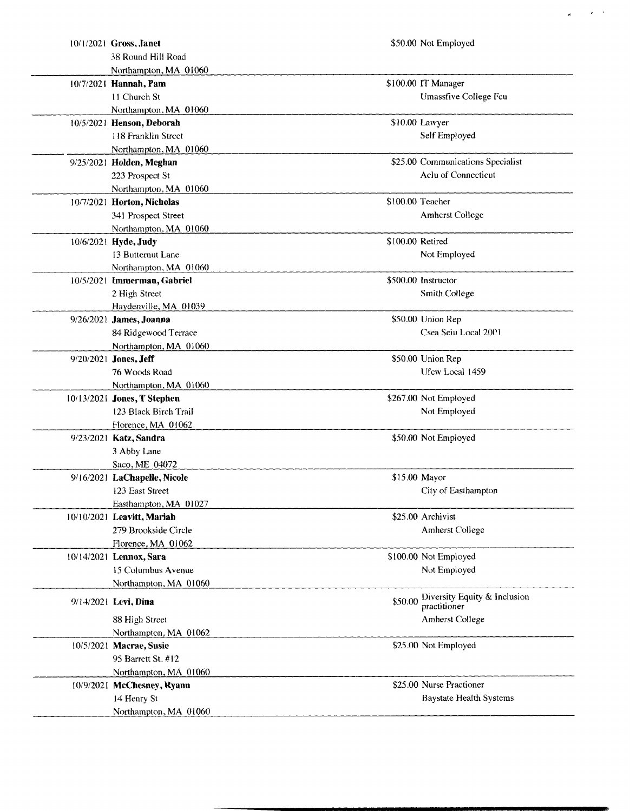| 10/1/2021 Gross, Janet                             |                  | \$50.00 Not Employed              |
|----------------------------------------------------|------------------|-----------------------------------|
| 38 Round Hill Road                                 |                  |                                   |
|                                                    |                  |                                   |
| Northampton, MA 01060<br>10/7/2021 Hannah, Pam     |                  | \$100.00 IT Manager               |
|                                                    |                  |                                   |
| 11 Church St                                       |                  | Umassfive College Fcu             |
| Northampton, MA 01060<br>10/5/2021 Henson, Deborah |                  | \$10.00 Lawyer                    |
| 118 Franklin Street                                |                  | Self Employed                     |
| Northampton, MA 01060                              |                  |                                   |
| 9/25/2021 Holden, Meghan                           |                  | \$25.00 Communications Specialist |
|                                                    |                  | Aclu of Connecticut               |
| 223 Prospect St<br>Northampton, MA_01060           |                  |                                   |
|                                                    | \$100.00 Teacher |                                   |
| 10/7/2021 Horton, Nicholas                         |                  |                                   |
| 341 Prospect Street                                |                  | Amherst College                   |
| Northampton, MA 01060                              | \$100.00 Retired |                                   |
| 10/6/2021 Hyde, Judy<br>13 Butternut Lane          |                  |                                   |
| Northampton, MA 01060                              |                  | Not Employed                      |
| 10/5/2021 Immerman, Gabriel                        |                  | \$500.00 Instructor               |
| 2 High Street                                      |                  | Smith College                     |
| Haydenville, MA 01039                              |                  |                                   |
| 9/26/2021 James, Joanna                            |                  | \$50.00 Union Rep                 |
| 84 Ridgewood Terrace                               |                  | Csea Seiu Local 2001              |
| Northampton, MA 01060                              |                  |                                   |
| 9/20/2021 Jones, Jeff                              |                  | \$50.00 Union Rep                 |
| 76 Woods Road                                      |                  | Ufcw Local 1459                   |
| Northampton, MA 01060                              |                  |                                   |
| 10/13/2021 Jones, T Stephen                        |                  | \$267.00 Not Employed             |
| 123 Black Birch Trail                              |                  | Not Employed                      |
| Florence, MA 01062                                 |                  |                                   |
| 9/23/2021 Katz, Sandra                             |                  | \$50.00 Not Employed              |
| 3 Abby Lane                                        |                  |                                   |
| Saco, ME 04072                                     |                  |                                   |
| 9/16/2021 LaChapelle, Nicole                       | \$15.00 Mayor    |                                   |
| 123 East Street                                    |                  | City of Easthampton               |
| Easthampton, MA 01027                              |                  |                                   |
| 10/10/2021 Leavitt, Mariah                         |                  | \$25.00 Archivist                 |
| 279 Brookside Circle                               |                  | Amherst College                   |
| Florence, MA 01062                                 |                  |                                   |
| 10/14/2021 Lennox, Sara                            |                  | \$100.00 Not Employed             |
| 15 Columbus Avenue                                 |                  | Not Employed                      |
| Northampton, MA 01060                              |                  |                                   |
|                                                    |                  | Diversity Equity & Inclusion      |
| 9/14/2021 Levi, Dina                               | \$50.00          | practitioner                      |
| 88 High Street                                     |                  | Amherst College                   |
| Northampton, MA 01062                              |                  |                                   |
| 10/5/2021 Macrae, Susie                            |                  | \$25.00 Not Employed              |
| 95 Barrett St. #12                                 |                  |                                   |
| Northampton, MA 01060                              |                  |                                   |
| 10/9/2021 McChesney, Ryann                         |                  | \$25.00 Nurse Practioner          |
| 14 Henry St                                        |                  | <b>Baystate Health Systems</b>    |
| Northampton, MA 01060                              |                  |                                   |

 $\mathbf{z} \in \mathcal{X}$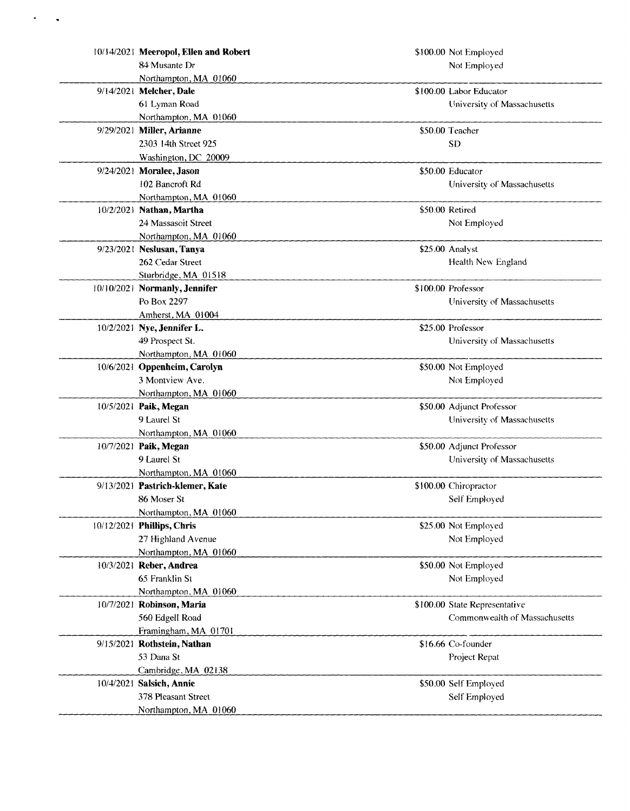| 10/14/2021 Meeropol, Ellen and Robert | \$100.00 Not Employed         |
|---------------------------------------|-------------------------------|
| 84 Musante Dr                         | Not Employed                  |
| Northampton, MA 01060                 |                               |
| 9/14/2021 Melcher, Dale               | \$100.00 Labor Educator       |
| 61 Lyman Road                         | University of Massachusetts   |
| Northampton, MA 01060                 |                               |
| 9/29/2021 Miller, Arianne             | \$50.00 Teacher               |
| 2303 14th Street 925                  | <b>SD</b>                     |
| Washington, DC 20009                  |                               |
| 9/24/2021 Moralee, Jason              | \$50.00 Educator              |
| 102 Bancroft Rd                       | University of Massachusetts   |
| Northampton, MA 01060                 |                               |
| 10/2/2021 Nathan, Martha              | \$50.00 Retired               |
| 24 Massasoit Street                   | Not Employed                  |
| Northampton, MA 01060                 |                               |
| 9/23/2021 Neslusan, Tanya             | \$25.00 Analyst               |
| 262 Cedar Street                      | Health New England            |
| Sturbridge, MA 01518                  |                               |
| 10/10/2021 Normanly, Jennifer         | \$100.00 Professor            |
| Po Box 2297                           | University of Massachusetts   |
| Amherst, MA 01004                     |                               |
| 10/2/2021 Nye, Jennifer L.            | \$25.00 Professor             |
| 49 Prospect St.                       | University of Massachusetts   |
| Northampton, MA 01060                 |                               |
| 10/6/2021 Oppenheim, Carolyn          | \$50.00 Not Employed          |
| 3 Montview Ave.                       | Not Employed                  |
| Northampton, MA 01060                 |                               |
| 10/5/2021 Paik, Megan                 | \$50.00 Adjunct Professor     |
| 9 Laurel St                           | University of Massachusetts   |
| Northampton, MA 01060                 |                               |
| 10/7/2021 Paik, Megan                 | \$50.00 Adjunct Professor     |
| 9 Laurel St                           | University of Massachusetts   |
| Northampton, MA 01060                 |                               |
| 9/13/2021 Pastrich-klemer, Kate       | \$100.00 Chiropractor         |
| 86 Moser St                           | Self Employed                 |
| Northampton, MA 01060                 |                               |
| 10/12/2021 Phillips, Chris            | \$25.00 Not Employed          |
| 27 Highland Avenue                    | Not Employed                  |
| Northampton, MA 01060                 |                               |
| 10/3/2021 Reber, Andrea               | \$50.00 Not Employed          |
| 65 Franklin St                        | Not Employed                  |
| Northampton, MA 01060                 |                               |
| 10/7/2021 Robinson, Maria             | \$100.00 State Representative |
| 560 Edgell Road                       | Commonwealth of Massachusetts |
| Framingham, MA 01701                  |                               |
| 9/15/2021 Rothstein, Nathan           | \$16.66 Co-founder            |
| 53 Dana St                            | Project Repat                 |
| Cambridge, MA 02138                   |                               |
| 10/4/2021 Salsich, Annie              | \$50.00 Self Employed         |
| 378 Pleasant Street                   | Self Employed                 |
| Northampton, MA 01060                 |                               |
|                                       |                               |

 $\bullet$ 

 $\ddot{\phantom{a}}$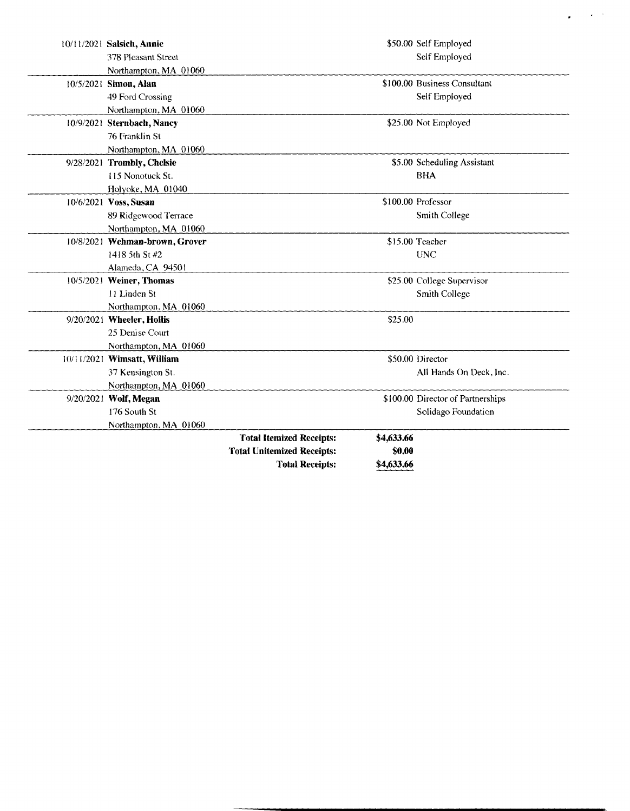| 10/11/2021 Salsich, Annie      |                                   |            | \$50.00 Self Employed             |
|--------------------------------|-----------------------------------|------------|-----------------------------------|
| 378 Pleasant Street            |                                   |            | Self Employed                     |
| Northampton, MA 01060          |                                   |            |                                   |
| 10/5/2021 Simon, Alan          |                                   |            | \$100.00 Business Consultant      |
| 49 Ford Crossing               |                                   |            | Self Employed                     |
| Northampton, MA 01060          |                                   |            |                                   |
| 10/9/2021 Sternbach, Nancy     |                                   |            | \$25.00 Not Employed              |
| 76 Franklin St                 |                                   |            |                                   |
| Northampton, MA 01060          |                                   |            |                                   |
| 9/28/2021 Trombly, Chelsie     |                                   |            | \$5.00 Scheduling Assistant       |
| 115 Nonotuck St.               |                                   |            | <b>BHA</b>                        |
| Holyoke, MA 01040              |                                   |            |                                   |
| 10/6/2021 Voss, Susan          |                                   |            | \$100.00 Professor                |
| 89 Ridgewood Terrace           |                                   |            | Smith College                     |
| Northampton, MA 01060          |                                   |            |                                   |
| 10/8/2021 Wehman-brown, Grover |                                   |            | \$15.00 Teacher                   |
| 1418 5th St #2                 |                                   |            | <b>UNC</b>                        |
| Alameda, CA 94501              |                                   |            |                                   |
| 10/5/2021 Weiner, Thomas       |                                   |            | \$25.00 College Supervisor        |
| 11 Linden St                   |                                   |            | Smith College                     |
| Northampton, MA 01060          |                                   |            |                                   |
| 9/20/2021 Wheeler, Hollis      |                                   | \$25.00    |                                   |
| 25 Denise Court                |                                   |            |                                   |
| Northampton, MA 01060          |                                   |            |                                   |
| 10/11/2021 Wimsatt, William    |                                   |            | \$50.00 Director                  |
| 37 Kensington St.              |                                   |            | All Hands On Deck, Inc.           |
| Northampton, MA 01060          |                                   |            |                                   |
| 9/20/2021 Wolf, Megan          |                                   |            | \$100.00 Director of Partnerships |
| 176 South St                   |                                   |            | Solidago Foundation               |
| Northampton, MA 01060          |                                   |            |                                   |
|                                | <b>Total Itemized Receipts:</b>   | \$4,633.66 |                                   |
|                                | <b>Total Unitemized Receipts:</b> | \$0.00     |                                   |
|                                | <b>Total Receipts:</b>            | \$4,633.66 |                                   |

 $\mathcal{L}(\mathcal{A})$ 

 $\bullet$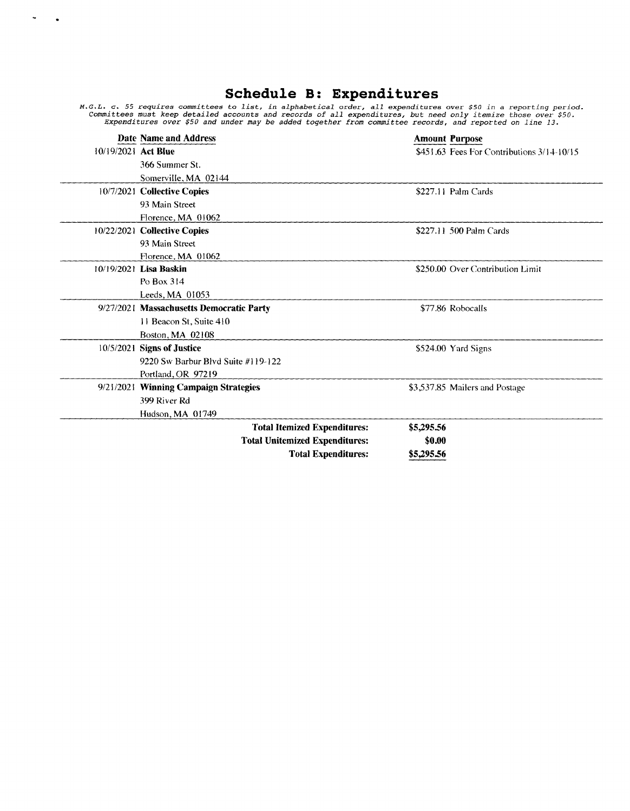|                     | M.G.L. c. 55 requires committees to list, in alphabetical order, all expenditures over \$50 in a reporting period.<br>Committees must keep detailed accounts and records of all expenditures, but need only itemize those over \$50.<br>Expenditures over \$50 and under may be added together from committee records, and reported on line 13. |                       |                                              |
|---------------------|-------------------------------------------------------------------------------------------------------------------------------------------------------------------------------------------------------------------------------------------------------------------------------------------------------------------------------------------------|-----------------------|----------------------------------------------|
|                     | <b>Date Name and Address</b>                                                                                                                                                                                                                                                                                                                    | <b>Amount Purpose</b> |                                              |
| 10/19/2021 Act Blue |                                                                                                                                                                                                                                                                                                                                                 |                       | \$451.63 Fees For Contributions $3/14-10/15$ |
|                     | 366 Summer St.                                                                                                                                                                                                                                                                                                                                  |                       |                                              |
|                     | Somerville, MA 02144                                                                                                                                                                                                                                                                                                                            |                       |                                              |
|                     | 10/7/2021 Collective Copies                                                                                                                                                                                                                                                                                                                     |                       | $$227.11$ Palm Cards                         |
|                     | 93 Main Street                                                                                                                                                                                                                                                                                                                                  |                       |                                              |
|                     | Florence, MA 01062                                                                                                                                                                                                                                                                                                                              |                       |                                              |
|                     | 10/22/2021 Collective Copies                                                                                                                                                                                                                                                                                                                    |                       | \$227.11 500 Palm Cards                      |
|                     | 93 Main Street                                                                                                                                                                                                                                                                                                                                  |                       |                                              |
|                     | Florence. MA 01062                                                                                                                                                                                                                                                                                                                              |                       |                                              |
|                     | 10/19/2021 Lisa Baskin                                                                                                                                                                                                                                                                                                                          |                       | \$250.00 Over Contribution Limit             |
|                     | Po Box 314                                                                                                                                                                                                                                                                                                                                      |                       |                                              |
|                     | Leeds, MA $01053$                                                                                                                                                                                                                                                                                                                               |                       |                                              |
|                     | 9/27/2021 Massachusetts Democratic Party                                                                                                                                                                                                                                                                                                        |                       | \$77.86 Robocalls                            |
|                     | 11 Beacon St, Suite 410                                                                                                                                                                                                                                                                                                                         |                       |                                              |
|                     | Boston, MA 02108                                                                                                                                                                                                                                                                                                                                |                       |                                              |
|                     | 10/5/2021 Signs of Justice                                                                                                                                                                                                                                                                                                                      |                       | $$524.00$ Yard Signs                         |
|                     | 9220 Sw Barbur Blvd Suite #119-122                                                                                                                                                                                                                                                                                                              |                       |                                              |
|                     | Portland, OR 97219                                                                                                                                                                                                                                                                                                                              |                       |                                              |
|                     | 9/21/2021 Winning Campaign Strategies                                                                                                                                                                                                                                                                                                           |                       | \$3,537.85 Mailers and Postage               |
|                     | 399 River Rd                                                                                                                                                                                                                                                                                                                                    |                       |                                              |
|                     | Hudson, MA 01749                                                                                                                                                                                                                                                                                                                                |                       |                                              |
|                     | <b>Total Itemized Expenditures:</b>                                                                                                                                                                                                                                                                                                             | \$5,295.56            |                                              |
|                     | <b>Total Unitemized Expenditures:</b>                                                                                                                                                                                                                                                                                                           | \$0.00                |                                              |
|                     | <b>Total Expenditures:</b>                                                                                                                                                                                                                                                                                                                      | \$5,295.56            |                                              |

## Schedule B: Expenditures

 $\sigma_{\rm{max}}$